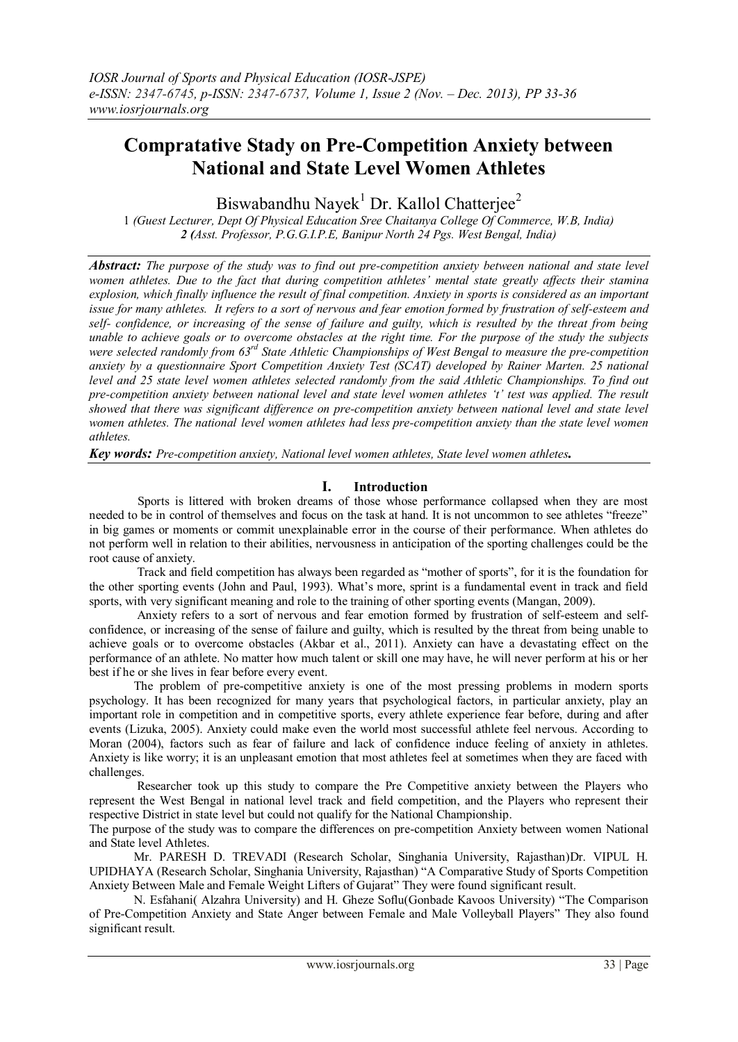# **Compratative Stady on Pre-Competition Anxiety between National and State Level Women Athletes**

Biswabandhu Nayek<sup>1</sup> Dr. Kallol Chatterjee<sup>2</sup>

1 *(Guest Lecturer, Dept Of Physical Education Sree Chaitanya College Of Commerce, W.B, India) 2 (Asst. Professor, P.G.G.I.P.E, Banipur North 24 Pgs. West Bengal, India)*

*Abstract: The purpose of the study was to find out pre-competition anxiety between national and state level women athletes. Due to the fact that during competition athletes' mental state greatly affects their stamina explosion, which finally influence the result of final competition. Anxiety in sports is considered as an important issue for many athletes. It refers to a sort of nervous and fear emotion formed by frustration of self-esteem and self- confidence, or increasing of the sense of failure and guilty, which is resulted by the threat from being unable to achieve goals or to overcome obstacles at the right time. For the purpose of the study the subjects were selected randomly from 63rd State Athletic Championships of West Bengal to measure the pre-competition anxiety by a questionnaire Sport Competition Anxiety Test (SCAT) developed by Rainer Marten. 25 national level and 25 state level women athletes selected randomly from the said Athletic Championships. To find out pre-competition anxiety between national level and state level women athletes 't' test was applied. The result showed that there was significant difference on pre-competition anxiety between national level and state level women athletes. The national level women athletes had less pre-competition anxiety than the state level women athletes.*

*Key words: Pre-competition anxiety, National level women athletes, State level women athletes.*

## **I. Introduction**

 Sports is littered with broken dreams of those whose performance collapsed when they are most needed to be in control of themselves and focus on the task at hand. It is not uncommon to see athletes "freeze" in big games or moments or commit unexplainable error in the course of their performance. When athletes do not perform well in relation to their abilities, nervousness in anticipation of the sporting challenges could be the root cause of anxiety.

 Track and field competition has always been regarded as "mother of sports", for it is the foundation for the other sporting events (John and Paul, 1993). What"s more, sprint is a fundamental event in track and field sports, with very significant meaning and role to the training of other sporting events (Mangan, 2009).

 Anxiety refers to a sort of nervous and fear emotion formed by frustration of self-esteem and selfconfidence, or increasing of the sense of failure and guilty, which is resulted by the threat from being unable to achieve goals or to overcome obstacles (Akbar et al., 2011). Anxiety can have a devastating effect on the performance of an athlete. No matter how much talent or skill one may have, he will never perform at his or her best if he or she lives in fear before every event.

The problem of pre-competitive anxiety is one of the most pressing problems in modern sports psychology. It has been recognized for many years that psychological factors, in particular anxiety, play an important role in competition and in competitive sports, every athlete experience fear before, during and after events (Lizuka, 2005). Anxiety could make even the world most successful athlete feel nervous. According to Moran (2004), factors such as fear of failure and lack of confidence induce feeling of anxiety in athletes. Anxiety is like worry; it is an unpleasant emotion that most athletes feel at sometimes when they are faced with challenges.

 Researcher took up this study to compare the Pre Competitive anxiety between the Players who represent the West Bengal in national level track and field competition, and the Players who represent their respective District in state level but could not qualify for the National Championship.

The purpose of the study was to compare the differences on pre-competition Anxiety between women National and State level Athletes.

Mr. PARESH D. TREVADI (Research Scholar, Singhania University, Rajasthan)Dr. VIPUL H. UPIDHAYA (Research Scholar, Singhania University, Rajasthan) "A Comparative Study of Sports Competition Anxiety Between Male and Female Weight Lifters of Gujarat" They were found significant result.

N. Esfahani( Alzahra University) and H. Gheze Soflu(Gonbade Kavoos University) "The Comparison of Pre-Competition Anxiety and State Anger between Female and Male Volleyball Players" They also found significant result.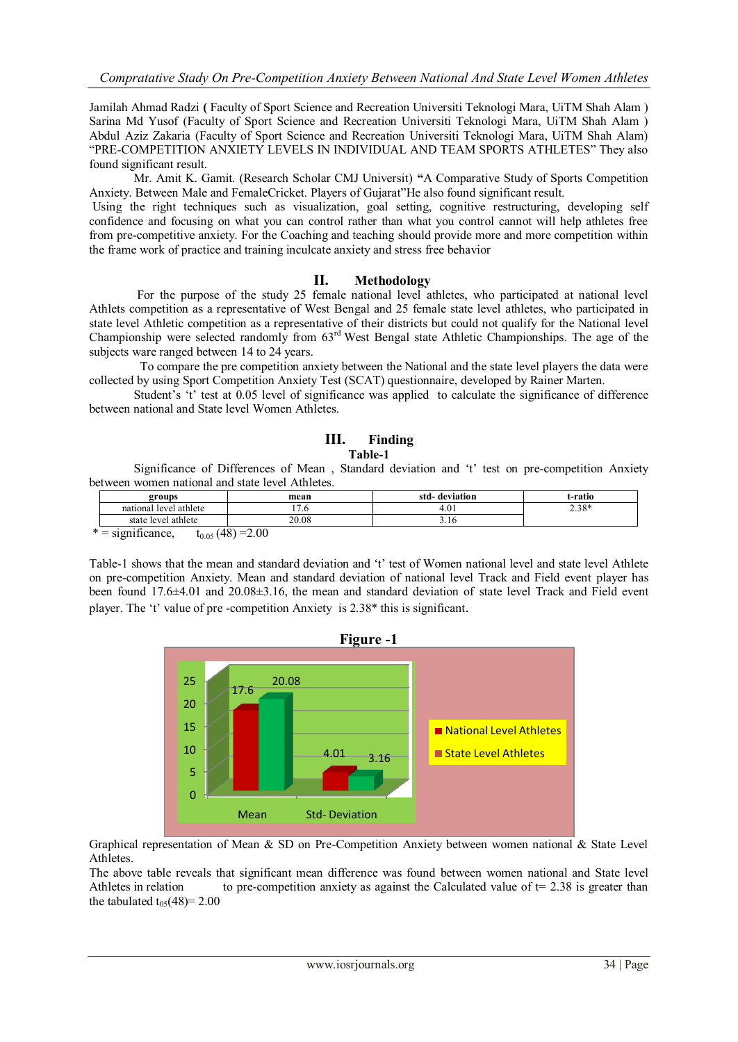Jamilah Ahmad Radzi **(** Faculty of Sport Science and Recreation Universiti Teknologi Mara, UiTM Shah Alam ) Sarina Md Yusof (Faculty of Sport Science and Recreation Universiti Teknologi Mara, UiTM Shah Alam ) Abdul Aziz Zakaria (Faculty of Sport Science and Recreation Universiti Teknologi Mara, UiTM Shah Alam) "PRE-COMPETITION ANXIETY LEVELS IN INDIVIDUAL AND TEAM SPORTS ATHLETES" They also found significant result.

Mr. Amit K. Gamit. (Research Scholar CMJ Universit) **"**A Comparative Study of Sports Competition Anxiety. Between Male and FemaleCricket. Players of Gujarat"He also found significant result.

Using the right techniques such as visualization, goal setting, cognitive restructuring, developing self confidence and focusing on what you can control rather than what you control cannot will help athletes free from pre-competitive anxiety. For the Coaching and teaching should provide more and more competition within the frame work of practice and training inculcate anxiety and stress free behavior

#### **II. Methodology**

 For the purpose of the study 25 female national level athletes, who participated at national level Athlets competition as a representative of West Bengal and 25 female state level athletes, who participated in state level Athletic competition as a representative of their districts but could not qualify for the National level Championship were selected randomly from 63rd West Bengal state Athletic Championships. The age of the subjects ware ranged between 14 to 24 years.

 To compare the pre competition anxiety between the National and the state level players the data were collected by using Sport Competition Anxiety Test (SCAT) questionnaire, developed by Rainer Marten.

Student's 't' test at 0.05 level of significance was applied to calculate the significance of difference between national and State level Women Athletes.

## **III. Finding**

#### **Table-1**

Significance of Differences of Mean , Standard deviation and "t" test on pre-competition Anxiety between women national and state level Athletes.

| groups                    | mean                  | std-<br>deviation | t-ratio |
|---------------------------|-----------------------|-------------------|---------|
| level athlete<br>national | $\overline{ }$<br>. ب | 4.01<br>4         | $2.38*$ |
| state level athlete       | 20.08                 | 5.10              |         |
| . .<br>$* =  : c $        | $(10) - 20$           |                   |         |

 $=$  significance,  $t_{0.05}$  (48) =2.00

Table-1 shows that the mean and standard deviation and "t" test of Women national level and state level Athlete on pre-competition Anxiety. Mean and standard deviation of national level Track and Field event player has been found 17.6±4.01 and 20.08±3.16, the mean and standard deviation of state level Track and Field event player. The "t" value of pre -competition Anxiety is 2.38\* this is significant.



Graphical representation of Mean & SD on Pre-Competition Anxiety between women national & State Level Athletes.

The above table reveals that significant mean difference was found between women national and State level Athletes in relation to pre-competition anxiety as against the Calculated value of  $t= 2.38$  is greater than the tabulated  $t_{05}(48)=2.00$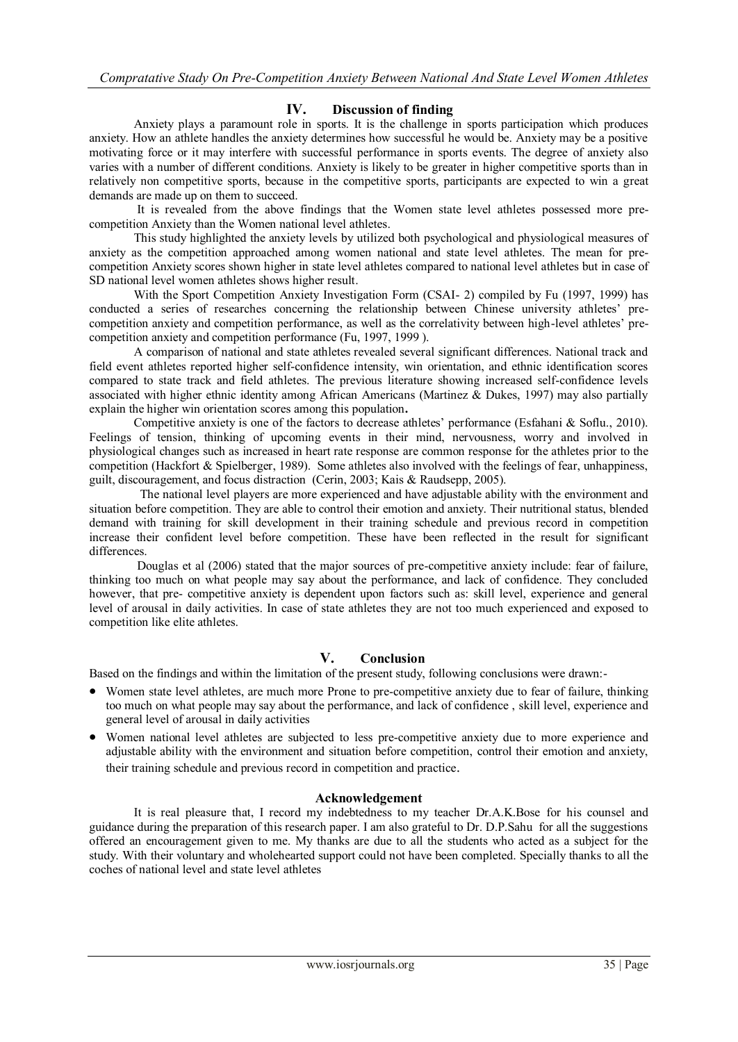### **IV. Discussion of finding**

 Anxiety plays a paramount role in sports. It is the challenge in sports participation which produces anxiety. How an athlete handles the anxiety determines how successful he would be. Anxiety may be a positive motivating force or it may interfere with successful performance in sports events. The degree of anxiety also varies with a number of different conditions. Anxiety is likely to be greater in higher competitive sports than in relatively non competitive sports, because in the competitive sports, participants are expected to win a great demands are made up on them to succeed.

 It is revealed from the above findings that the Women state level athletes possessed more precompetition Anxiety than the Women national level athletes.

 This study highlighted the anxiety levels by utilized both psychological and physiological measures of anxiety as the competition approached among women national and state level athletes. The mean for precompetition Anxiety scores shown higher in state level athletes compared to national level athletes but in case of SD national level women athletes shows higher result.

 With the Sport Competition Anxiety Investigation Form (CSAI- 2) compiled by Fu (1997, 1999) has conducted a series of researches concerning the relationship between Chinese university athletes" precompetition anxiety and competition performance, as well as the correlativity between high-level athletes" precompetition anxiety and competition performance (Fu, 1997, 1999 ).

 A comparison of national and state athletes revealed several significant differences. National track and field event athletes reported higher self-confidence intensity, win orientation, and ethnic identification scores compared to state track and field athletes. The previous literature showing increased self-confidence levels associated with higher ethnic identity among African Americans (Martinez & Dukes, 1997) may also partially explain the higher win orientation scores among this population**.**

 Competitive anxiety is one of the factors to decrease athletes" performance (Esfahani & Soflu., 2010). Feelings of tension, thinking of upcoming events in their mind, nervousness, worry and involved in physiological changes such as increased in heart rate response are common response for the athletes prior to the competition (Hackfort & Spielberger, 1989). Some athletes also involved with the feelings of fear, unhappiness, guilt, discouragement, and focus distraction (Cerin, 2003; Kais & Raudsepp, 2005).

 The national level players are more experienced and have adjustable ability with the environment and situation before competition. They are able to control their emotion and anxiety. Their nutritional status, blended demand with training for skill development in their training schedule and previous record in competition increase their confident level before competition. These have been reflected in the result for significant differences.

 Douglas et al (2006) stated that the major sources of pre-competitive anxiety include: fear of failure, thinking too much on what people may say about the performance, and lack of confidence. They concluded however, that pre- competitive anxiety is dependent upon factors such as: skill level, experience and general level of arousal in daily activities. In case of state athletes they are not too much experienced and exposed to competition like elite athletes.

### **V. Conclusion**

Based on the findings and within the limitation of the present study, following conclusions were drawn:-

- Women state level athletes, are much more Prone to pre-competitive anxiety due to fear of failure, thinking too much on what people may say about the performance, and lack of confidence , skill level, experience and general level of arousal in daily activities
- Women national level athletes are subjected to less pre-competitive anxiety due to more experience and adjustable ability with the environment and situation before competition, control their emotion and anxiety, their training schedule and previous record in competition and practice.

#### **Acknowledgement**

It is real pleasure that, I record my indebtedness to my teacher Dr.A.K.Bose for his counsel and guidance during the preparation of this research paper. I am also grateful to Dr. D.P.Sahu for all the suggestions offered an encouragement given to me. My thanks are due to all the students who acted as a subject for the study. With their voluntary and wholehearted support could not have been completed. Specially thanks to all the coches of national level and state level athletes